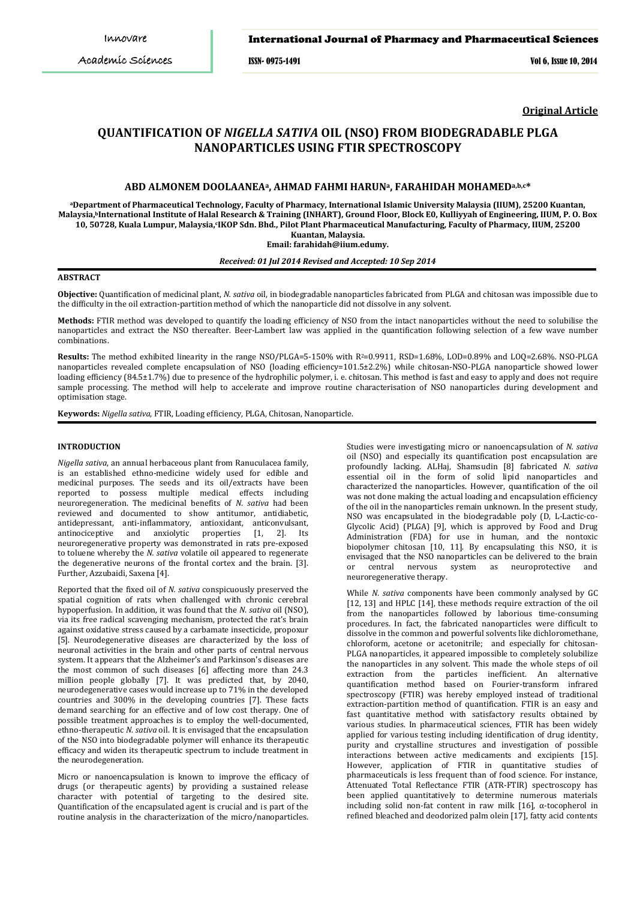## International Journal of Pharmacy and Pharmaceutical Sciences

ISSN- 0975-1491 Vol 6, Issue 10, 2014

**Original Article**

# **QUANTIFICATION OF** *NIGELLA SATIVA* **OIL (NSO) FROM BIODEGRADABLE PLGA NANOPARTICLES USING FTIR SPECTROSCOPY**

## **ABD ALMONEM DOOLAANEAa, AHMAD FAHMI HARUNa, FARAHIDAH MOHAMEDa,b,c\***

**aDepartment of Pharmaceutical Technology, Faculty of Pharmacy, International Islamic University Malaysia (IIUM), 25200 Kuantan, Malaysia, bInternational Institute of Halal Research & Training (INHART), Ground Floor, Block E0, Kulliyyah of Engineering, IIUM, P. O. Box**  10, 50728, Kuala Lumpur, Malaysia,ʿIKOP Sdn. Bhd., Pilot Plant Pharmaceutical Manufacturing, Faculty of Pharmacy, IIUM, 25200 **Kuantan, Malaysia.**

**Email: farahidah@iium.edumy.**

*Received: 01 Jul 2014 Revised and Accepted: 10 Sep 2014*

# **ABSTRACT**

**Objective:** Quantification of medicinal plant, *N. sativa* oil, in biodegradable nanoparticles fabricated from PLGA and chitosan was impossible due to the difficulty in the oil extraction-partition method of which the nanoparticle did not dissolve in any solvent.

**Methods:** FTIR method was developed to quantify the loading efficiency of NSO from the intact nanoparticles without the need to solubilise the nanoparticles and extract the NSO thereafter. Beer-Lambert law was applied in the quantification following selection of a few wave number combinations.

**Results:** The method exhibited linearity in the range NSO/PLGA=5-150% with R<sup>2</sup>=0.9911, RSD=1.68%, LOD=0.89% and LOQ=2.68%. NSO-PLGA nanoparticles revealed complete encapsulation of NSO (loading efficiency=101.5±2.2%) while chitosan-NSO-PLGA nanoparticle showed lower loading efficiency (84.5±1.7%) due to presence of the hydrophilic polymer, i. e. chitosan. This method is fast and easy to apply and does not require sample processing. The method will help to accelerate and improve routine characterisation of NSO nanoparticles during development and optimisation stage.

**Keywords:** *Nigella sativa*, FTIR, Loading efficiency, PLGA, Chitosan, Nanoparticle.

## **INTRODUCTION**

*Nigella sativa*, an annual herbaceous plant from Ranuculacea family, is an established ethno-medicine widely used for edible and medicinal purposes. The seeds and its oil/extracts have been reported to possess multiple medical effects including neuroregeneration. The medicinal benefits of *N. sativa* had been reviewed and documented to show antitumor, antidiabetic, antidepressant, anti-inflammatory, antioxidant, anticonvulsant, antinociceptive and anxiolytic properties [\[1,](#page-4-0) [2\].](#page-4-1) Its neuroregenerative property was demonstrated in rats pre-exposed to toluene whereby the *N. sativa* volatile oil appeared to regenerate the degenerative neurons of the frontal cortex and the brain. [\[3\].](#page-4-2) Further, [Azzubaidi, Saxena](#page-4-3) [4].

Reported that the fixed oil of *N. sativa* conspicuously preserved the spatial cognition of rats when challenged with chronic cerebral hypoperfusion. In addition, it was found that the *N. sativa* oil (NSO), via its free radical scavenging mechanism, protected the rat's brain against oxidative stress caused by a carbamate insecticide, propoxur [\[5\]](#page-4-4). Neurodegenerative diseases are characterized by the loss of neuronal activities in the brain and other parts of central nervous system. It appears that the Alzheimer's and Parkinson's diseases are the most common of such diseases [\[6\]](#page-4-5) affecting more than 24.3 million people globally [\[7\]](#page-4-6). It was predicted that, by 2040, neurodegenerative cases would increase up to 71% in the developed countries and 300% in the developing countries [\[7\]](#page-4-6). These facts demand searching for an effective and of low cost therapy. One of possible treatment approaches is to employ the well-documented, ethno-therapeutic *N. sativa* oil. It is envisaged that the encapsulation of the NSO into biodegradable polymer will enhance its therapeutic efficacy and widen its therapeutic spectrum to include treatment in the neurodegeneration.

Micro or nanoencapsulation is known to improve the efficacy of drugs (or therapeutic agents) by providing a sustained release character with potential of targeting to the desired site. Quantification of the encapsulated agent is crucial and is part of the routine analysis in the characterization of the micro/nanoparticles.

Studies were investigating micro or nanoencapsulation of *N. sativa* oil (NSO) and especially its quantification post encapsulation are profoundly lacking. [ALHaj, Shamsudin \[8\]](#page-4-7) fabricated *N. sativa* essential oil in the form of solid lipid nanoparticles and characterized the nanoparticles. However, quantification of the oil was not done making the actual loading and encapsulation efficiency of the oil in the nanoparticles remain unknown. In the present study, NSO was encapsulated in the biodegradable poly (D, L-Lactic-co-Glycolic Acid) (PLGA) [\[9\]](#page-4-8), which is approved by Food and Drug Administration (FDA) for use in human, and the nontoxic biopolymer chitosan [\[10,](#page-4-9) [11\]](#page-4-10). By encapsulating this NSO, it is envisaged that the NSO nanoparticles can be delivered to the brain<br>or central nervous system as neuroprotective and or central nervous system as neuroprotective neuroregenerative therapy.

While *N. sativa* components have been commonly analysed by GC [\[12,](#page-4-11) [13\]](#page-4-12) and HPLC [\[14\]](#page-4-13), these methods require extraction of the oil from the nanoparticles followed by laborious time-consuming procedures. In fact, the fabricated nanoparticles were difficult to dissolve in the common and powerful solvents like dichloromethane, chloroform, acetone or acetonitrile; and especially for chitosan-PLGA nanoparticles, it appeared impossible to completely solubilize the nanoparticles in any solvent. This made the whole steps of oil extraction from the particles inefficient. An alternative quantification method based on Fourier-transform infrared spectroscopy (FTIR) was hereby employed instead of traditional extraction-partition method of quantification. FTIR is an easy and fast quantitative method with satisfactory results obtained by various studies. In pharmaceutical sciences, FTIR has been widely applied for various testing including identification of drug identity, purity and crystalline structures and investigation of possible interactions between active medicaments and excipients [\[15\]](#page-4-14). However, application of FTIR in quantitative studies of pharmaceuticals is less frequent than of food science. For instance, Attenuated Total Reflectance FTIR (ATR-FTIR) spectroscopy has been applied quantitatively to determine numerous materials including solid non-fat content in raw milk [\[16\]](#page-4-15), α-tocopherol in refined bleached and deodorized palm olein [\[17\]](#page-4-16), fatty acid contents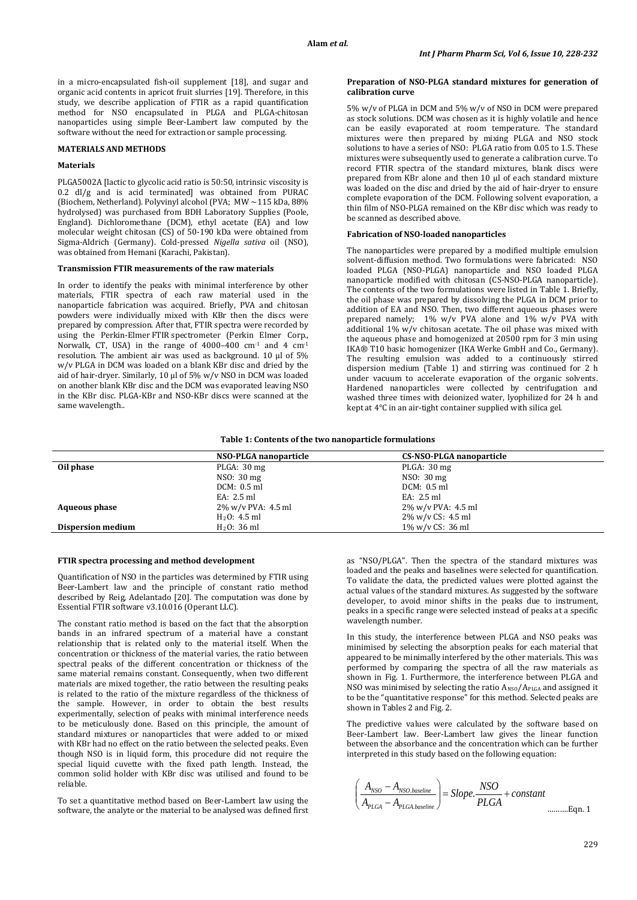in a micro-encapsulated fish-oil supplement [\[18\]](#page-4-17), and sugar and organic acid contents in apricot fruit slurries [\[19\]](#page-4-18). Therefore, in this study, we describe application of FTIR as a rapid quantification method for NSO encapsulated in PLGA and PLGA-chitosan nanoparticles using simple Beer-Lambert law computed by the software without the need for extraction or sample processing.

## **MATERIALS AND METHODS**

## **Materials**

PLGA5002A [lactic to glycolic acid ratio is 50:50, intrinsic viscosity is 0.2 dl/g and is acid terminated] was obtained from PURAC (Biochem, Netherland). Polyvinyl alcohol (PVA; MW ~115 kDa, 88% hydrolysed) was purchased from BDH Laboratory Supplies (Poole, England). Dichloromethane (DCM), ethyl acetate (EA) and low molecular weight chitosan (CS) of 50-190 kDa were obtained from Sigma-Aldrich (Germany). Cold-pressed *Nigella sativa* oil (NSO), was obtained from Hemani (Karachi, Pakistan).

#### **Transmission FTIR measurements of the raw materials**

In order to identify the peaks with minimal interference by other materials, FTIR spectra of each raw material used in the nanoparticle fabrication was acquired. Briefly, PVA and chitosan powders were individually mixed with KBr then the discs were prepared by compression. After that, FTIR spectra were recorded by using the Perkin-Elmer FTIR spectrometer (Perkin Elmer Corp., Norwalk, CT, USA) in the range of 4000–400 cm-1 and 4 cm-1 resolution. The ambient air was used as background. 10 µl of 5% w/v PLGA in DCM was loaded on a blank KBr disc and dried by the aid of hair-dryer. Similarly, 10 µl of 5% w/v NSO in DCM was loaded on another blank KBr disc and the DCM was evaporated leaving NSO in the KBr disc. PLGA-KBr and NSO-KBr discs were scanned at the same wavelength..

#### **Preparation of NSO-PLGA standard mixtures for generation of calibration curve**

5% w/v of PLGA in DCM and 5% w/v of NSO in DCM were prepared as stock solutions. DCM was chosen as it is highly volatile and hence can be easily evaporated at room temperature. The standard mixtures were then prepared by mixing PLGA and NSO stock solutions to have a series of NSO: PLGA ratio from 0.05 to 1.5. These mixtures were subsequently used to generate a calibration curve. To record FTIR spectra of the standard mixtures, blank discs were prepared from KBr alone and then 10 µl of each standard mixture was loaded on the disc and dried by the aid of hair-dryer to ensure complete evaporation of the DCM. Following solvent evaporation, a thin film of NSO-PLGA remained on the KBr disc which was ready to be scanned as described above.

## **Fabrication of NSO-loaded nanoparticles**

The nanoparticles were prepared by a modified multiple emulsion solvent-diffusion method. Two formulations were fabricated: NSO loaded PLGA (NSO-PLGA) nanoparticle and NSO loaded PLGA nanoparticle modified with chitosan (CS-NSO-PLGA nanoparticle). The contents of the two formulations were listed in Table 1. Briefly, the oil phase was prepared by dissolving the PLGA in DCM prior to addition of EA and NSO. Then, two different aqueous phases were prepared namely;  $1\%$  w/v PVA alone and  $1\%$  w/v PVA with additional 1% w/v chitosan acetate. The oil phase was mixed with the aqueous phase and homogenized at 20500 rpm for 3 min using IKA® T10 basic homogenizer (IKA Werke GmbH and Co., Germany). The resulting emulsion was added to a continuously stirred dispersion medium (Table 1) and stirring was continued for 2 h under vacuum to accelerate evaporation of the organic solvents. Hardened nanoparticles were collected by centrifugation and washed three times with deionized water, lyophilized for 24 h and kept at 4°C in an air-tight container supplied with silica gel.

#### **Table 1: Contents of the two nanoparticle formulations**

|                          | NSO-PLGA nanoparticle   | CS-NSO-PLGA nanoparticle |  |  |
|--------------------------|-------------------------|--------------------------|--|--|
| Oil phase                | PLGA: $30 \text{ mg}$   | PLGA: 30 mg              |  |  |
|                          | NSO: 30 mg              | NSO: 30 mg               |  |  |
|                          | DCM: 0.5 ml             | DCM: 0.5 ml              |  |  |
|                          | EA: 2.5 ml              | EA: 2.5 ml               |  |  |
| <b>Aqueous phase</b>     | 2% w/v PVA: 4.5 ml      | 2% w/v PVA: 4.5 ml       |  |  |
|                          | $H2O$ : 4.5 ml          | 2% w/v CS: 4.5 ml        |  |  |
| <b>Dispersion medium</b> | H <sub>2</sub> O: 36 ml | 1\% w/v CS: 36 ml        |  |  |

#### **FTIR spectra processing and method development**

Quantification of NSO in the particles was determined by FTIR using Beer-Lambert law and the principle of constant ratio method described by [Reig, Adelantado \[20\]](#page-4-19). The computation was done by Essential FTIR software v3.10.016 (Operant LLC).

The constant ratio method is based on the fact that the absorption bands in an infrared spectrum of a material have a constant relationship that is related only to the material itself. When the concentration or thickness of the material varies, the ratio between spectral peaks of the different concentration or thickness of the same material remains constant. Consequently, when two different materials are mixed together, the ratio between the resulting peaks is related to the ratio of the mixture regardless of the thickness of the sample. However, in order to obtain the best results experimentally, selection of peaks with minimal interference needs to be meticulously done. Based on this principle, the amount of standard mixtures or nanoparticles that were added to or mixed with KBr had no effect on the ratio between the selected peaks. Even though NSO is in liquid form, this procedure did not require the special liquid cuvette with the fixed path length. Instead, the common solid holder with KBr disc was utilised and found to be reliable.

To set a quantitative method based on Beer-Lambert law using the software, the analyte or the material to be analysed was defined first

as "NSO/PLGA". Then the spectra of the standard mixtures was loaded and the peaks and baselines were selected for quantification. To validate the data, the predicted values were plotted against the actual values of the standard mixtures. As suggested by the software developer, to avoid minor shifts in the peaks due to instrument, peaks in a specific range were selected instead of peaks at a specific wavelength number.

In this study, the interference between PLGA and NSO peaks was minimised by selecting the absorption peaks for each material that appeared to be minimally interfered by the other materials. This was performed by comparing the spectra of all the raw materials as shown in Fig. 1. Furthermore, the interference between PLGA and NSO was minimised by selecting the ratio A*R*NSO*R*/A*<sup>R</sup>* PLGA *R*and assigned it to be the "quantitative response" for this method. Selected peaks are shown in Tables 2 and Fig. 2.

The predictive values were calculated by the software based on Beer-Lambert law. Beer-Lambert law gives the linear function between the absorbance and the concentration which can be further interpreted in this study based on the following equation:

$$
\left(\frac{A_{NSO} - A_{NSO.baseline}}{A_{PLGA} - A_{PLGA.baseline}}\right) = Slope.\frac{NSO}{PLGA} + constant
$$
........Eqn. 1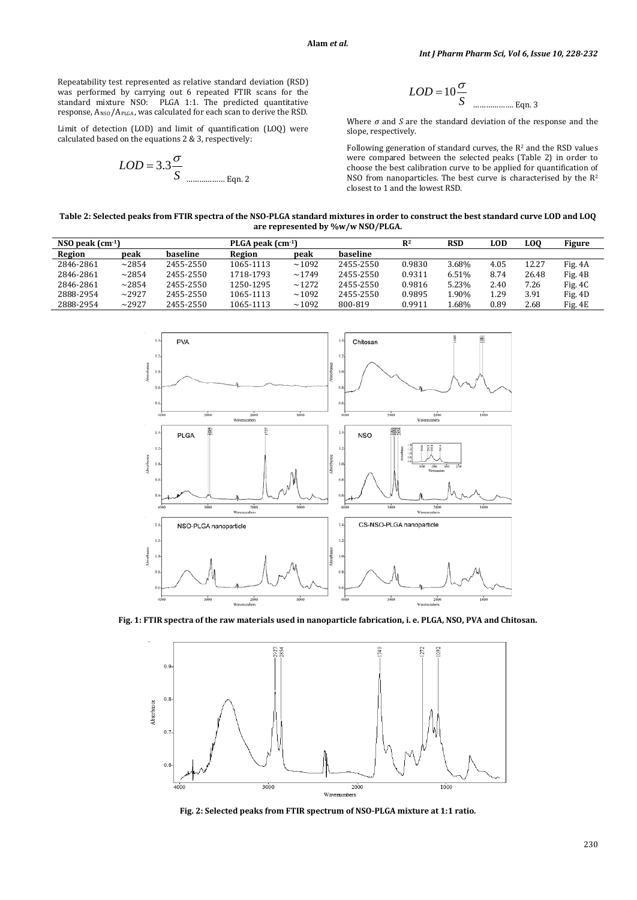Repeatability test represented as relative standard deviation (RSD) was performed by carrying out 6 repeated FTIR scans for the standard mixture NSO: PLGA 1:1. The predicted quantitative response,  $A_{\rm NSO}/A_{\rm PLGA}$ , was calculated for each scan to derive the RSD.

Limit of detection (LOD) and limit of quantification (LOQ) were calculated based on the equations 2 & 3, respectively:

$$
LOD = 3.3 \frac{\sigma}{S}
$$
 4.2

$$
LOD = 10 \frac{\sigma}{S}
$$

Where *σ* and *S* are the standard deviation of the response and the slope, respectively.

Following generation of standard curves, the  $R^2$  and the RSD values were compared between the selected peaks (Table 2) in order to choose the best calibration curve to be applied for quantification of NSO from nanoparticles. The best curve is characterised by the R2 closest to 1 and the lowest RSD.

**Table 2: Selected peaks from FTIR spectra of the NSO-PLGA standard mixtures in order to construct the best standard curve LOD and LOQ are represented by %w/w NSO/PLGA.**

| NSO peak $(cm-1)$<br>PLGA peak $(cm-1)$ |       |           |           |       | $R^2$     | <b>RSD</b> | <b>LOD</b> | LOO  | <b>Figure</b> |           |
|-----------------------------------------|-------|-----------|-----------|-------|-----------|------------|------------|------|---------------|-----------|
| Region                                  | peak  | haseline  | Region    | peak  | haseline  |            |            |      |               |           |
| 2846-2861                               | ~2854 | 2455-2550 | 1065-1113 | ~1092 | 2455-2550 | 0.9830     | 3.68%      | 4.05 | 12.27         | Fig. 4A   |
| 2846-2861                               | ~2854 | 2455-2550 | 1718-1793 | ~1749 | 2455-2550 | 0.9311     | 6.51%      | 8.74 | 26.48         | Fig. 4B   |
| 2846-2861                               | ~2854 | 2455-2550 | 1250-1295 | ~1272 | 2455-2550 | 0.9816     | 5.23%      | 2.40 | 7.26          | Fig. $4C$ |
| 2888-2954                               | ~2927 | 2455-2550 | 1065-1113 | ~1092 | 2455-2550 | 0.9895     | 1.90%      | 1.29 | 3.91          | Fig. 4D   |
| 2888-2954                               | ~2927 | 2455-2550 | 1065-1113 | ~1092 | 800-819   | 0.9911     | L.68%      | 0.89 | 2.68          | Fig. 4E   |



**Fig. 1: FTIR spectra of the raw materials used in nanoparticle fabrication, i. e. PLGA, NSO, PVA and Chitosan.**



**Fig. 2: Selected peaks from FTIR spectrum of NSO-PLGA mixture at 1:1 ratio.**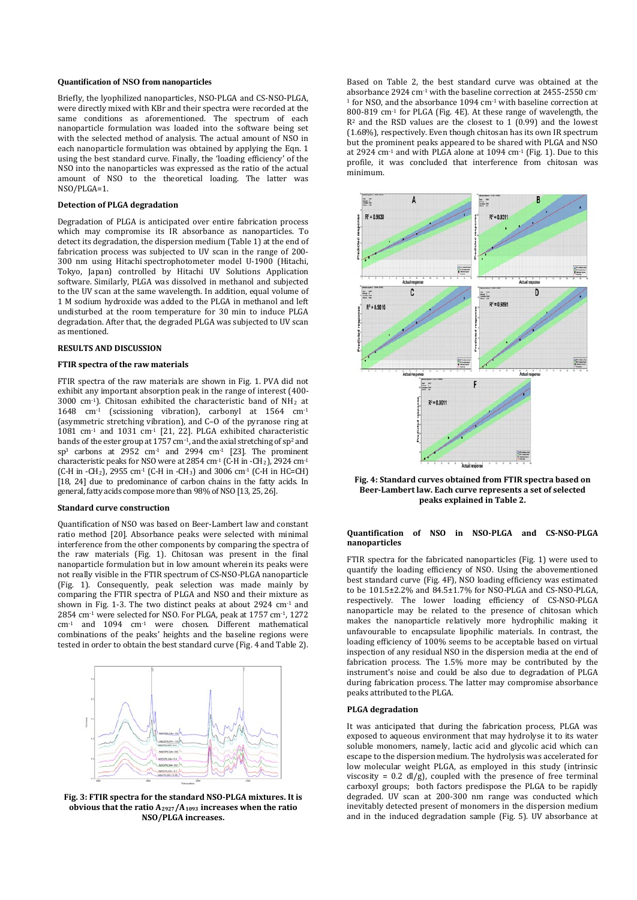#### **Quantification of NSO from nanoparticles**

Briefly, the lyophilized nanoparticles, NSO-PLGA and CS-NSO-PLGA, were directly mixed with KBr and their spectra were recorded at the same conditions as aforementioned. The spectrum of each nanoparticle formulation was loaded into the software being set with the selected method of analysis. The actual amount of NSO in each nanoparticle formulation was obtained by applying the Eqn. 1 using the best standard curve. Finally, the 'loading efficiency' of the NSO into the nanoparticles was expressed as the ratio of the actual amount of NSO to the theoretical loading. The latter was NSO/PLGA=1.

#### **Detection of PLGA degradation**

Degradation of PLGA is anticipated over entire fabrication process which may compromise its IR absorbance as nanoparticles. To detect its degradation, the dispersion medium (Table 1) at the end of fabrication process was subjected to UV scan in the range of 200- 300 nm using Hitachi spectrophotometer model U-1900 (Hitachi, Tokyo, Japan) controlled by Hitachi UV Solutions Application software. Similarly, PLGA was dissolved in methanol and subjected to the UV scan at the same wavelength. In addition, equal volume of 1 M sodium hydroxide was added to the PLGA in methanol and left undisturbed at the room temperature for 30 min to induce PLGA degradation. After that, the degraded PLGA was subjected to UV scan as mentioned.

## **RESULTS AND DISCUSSION**

#### **FTIR spectra of the raw materials**

FTIR spectra of the raw materials are shown in Fig. 1. PVA did not exhibit any important absorption peak in the range of interest (400- 3000 cm<sup>-1</sup>). Chitosan exhibited the characteristic band of  $NH<sub>2</sub>$  at 1648 cm-1 (scissioning vibration), carbonyl at 1564 cm-1 (asymmetric stretching vibration), and C–O of the pyranose ring at 1081 cm-1 and 1031 cm-1 [\[21,](#page-4-20) [22\]](#page-4-21). PLGA exhibited characteristic bands of the ester group at 1757 cm<sup>−</sup>1, and the axial stretching of sp2 and sp<sup>3</sup> carbons at  $2952$  cm<sup>-1</sup> and  $2994$  cm<sup>-1</sup> [\[23\]](#page-4-22). The prominent characteristic peaks for NSO were at 2854 cm-1 (C-H in -CH2), 2924 cm-1  $(C-H$  in  $-CH_2$ ), 2955 cm<sup>-1</sup> (C-H in -CH<sub>3</sub>) and 3006 cm<sup>-1</sup> (C-H in HC=CH) [[18](#page-4-17), [24\]](#page-4-23) due to predominance of carbon chains in the fatty acids. In general, fatty acids compose more than 98% of NSO [\[13,](#page-4-12) [25,](#page-4-24) [26\]](#page-4-25).

# **Standard curve construction**

Quantification of NSO was based on Beer-Lambert law and constant ratio method [\[20\]](#page-4-19). Absorbance peaks were selected with minimal interference from the other components by comparing the spectra of the raw materials (Fig. 1). Chitosan was present in the final nanoparticle formulation but in low amount wherein its peaks were not really visible in the FTIR spectrum of CS-NSO-PLGA nanoparticle (Fig. 1). Consequently, peak selection was made mainly by comparing the FTIR spectra of PLGA and NSO and their mixture as shown in Fig. 1-3. The two distinct peaks at about 2924 cm-1 and 2854 cm-1 were selected for NSO. For PLGA, peak at 1757 cm-1, 1272 cm-1 and 1094 cm-1 were chosen. Different mathematical combinations of the peaks' heights and the baseline regions were tested in order to obtain the best standard curve (Fig. 4 and Table 2).



**Fig. 3: FTIR spectra for the standard NSO-PLGA mixtures. It is obvious that the ratio A2927/A1093 increases when the ratio NSO/PLGA increases.**

Based on Table 2, the best standard curve was obtained at the absorbance 2924 cm-1 with the baseline correction at 2455-2550 cm- $1$  for NSO, and the absorbance 1094 cm $1$  with baseline correction at 800-819 cm-1 for PLGA (Fig. 4E). At these range of wavelength, the  $R<sup>2</sup>$  and the RSD values are the closest to 1 (0.99) and the lowest (1.68%), respectively. Even though chitosan has its own IR spectrum but the prominent peaks appeared to be shared with PLGA and NSO at 2924 cm<sup>-1</sup> and with PLGA alone at 1094 cm<sup>-1</sup> (Fig. 1). Due to this profile, it was concluded that interference from chitosan was minimum.



**Fig. 4: Standard curves obtained from FTIR spectra based on Beer-Lambert law. Each curve represents a set of selected peaks explained in Table 2.**

## **Quantification of NSO in NSO-PLGA and CS-NSO-PLGA nanoparticles**

FTIR spectra for the fabricated nanoparticles (Fig. 1) were used to quantify the loading efficiency of NSO. Using the abovementioned best standard curve (Fig. 4F), NSO loading efficiency was estimated to be 101.5±2.2% and 84.5±1.7% for NSO-PLGA and CS-NSO-PLGA, respectively. The lower loading efficiency of CS-NSO-PLGA nanoparticle may be related to the presence of chitosan which makes the nanoparticle relatively more hydrophilic making it unfavourable to encapsulate lipophilic materials. In contrast, the loading efficiency of 100% seems to be acceptable based on virtual inspection of any residual NSO in the dispersion media at the end of fabrication process. The 1.5% more may be contributed by the instrument's noise and could be also due to degradation of PLGA during fabrication process. The latter may compromise absorbance peaks attributed to the PLGA.

#### **PLGA degradation**

It was anticipated that during the fabrication process, PLGA was exposed to aqueous environment that may hydrolyse it to its water soluble monomers, namely, lactic acid and glycolic acid which can escape to the dispersion medium. The hydrolysis was accelerated for low molecular weight PLGA, as employed in this study (intrinsic viscosity =  $0.2$  dl/g), coupled with the presence of free terminal carboxyl groups; both factors predispose the PLGA to be rapidly degraded. UV scan at 200-300 nm range was conducted which inevitably detected present of monomers in the dispersion medium and in the induced degradation sample (Fig. 5). UV absorbance at